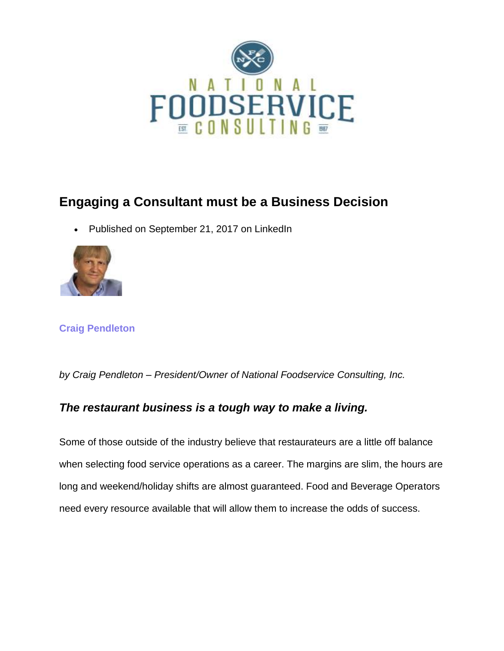

# **Engaging a Consultant must be a Business Decision**

[Publishe](https://www.linkedin.com/in/craigpendleton/)d on September 21, 2017 on LinkedIn



### **Craig [Pendleton](https://www.linkedin.com/in/craigpendleton/)**

*by Craig Pendleton – President/Owner of National Foodservice Consulting, Inc.*

### *The restaurant business is a tough way to make a living.*

Some of those outside of the industry believe that restaurateurs are a little off balance when selecting food service operations as a career. The margins are slim, the hours are long and weekend/holiday shifts are almost guaranteed. Food and Beverage Operators need every resource available that will allow them to increase the odds of success.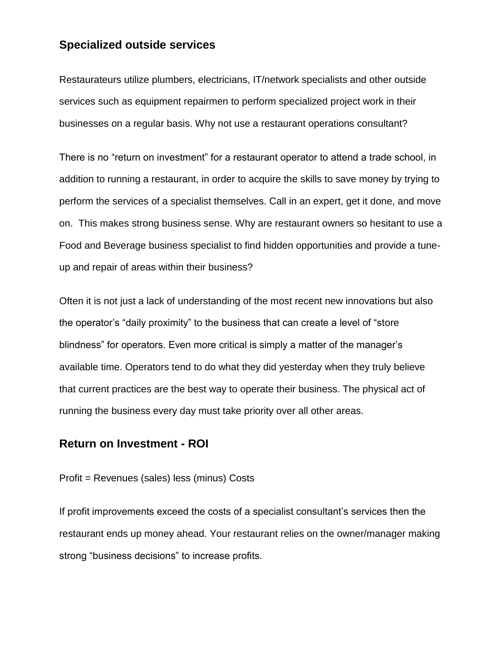#### **Specialized outside services**

Restaurateurs utilize plumbers, electricians, IT/network specialists and other outside services such as equipment repairmen to perform specialized project work in their businesses on a regular basis. Why not use a restaurant operations consultant?

There is no "return on investment" for a restaurant operator to attend a trade school, in addition to running a restaurant, in order to acquire the skills to save money by trying to perform the services of a specialist themselves. Call in an expert, get it done, and move on. This makes strong business sense. Why are restaurant owners so hesitant to use a Food and Beverage business specialist to find hidden opportunities and provide a tuneup and repair of areas within their business?

Often it is not just a lack of understanding of the most recent new innovations but also the operator's "daily proximity" to the business that can create a level of "store blindness" for operators. Even more critical is simply a matter of the manager's available time. Operators tend to do what they did yesterday when they truly believe that current practices are the best way to operate their business. The physical act of running the business every day must take priority over all other areas.

#### **Return on Investment - ROI**

#### Profit = Revenues (sales) less (minus) Costs

If profit improvements exceed the costs of a specialist consultant's services then the restaurant ends up money ahead. Your restaurant relies on the owner/manager making strong "business decisions" to increase profits.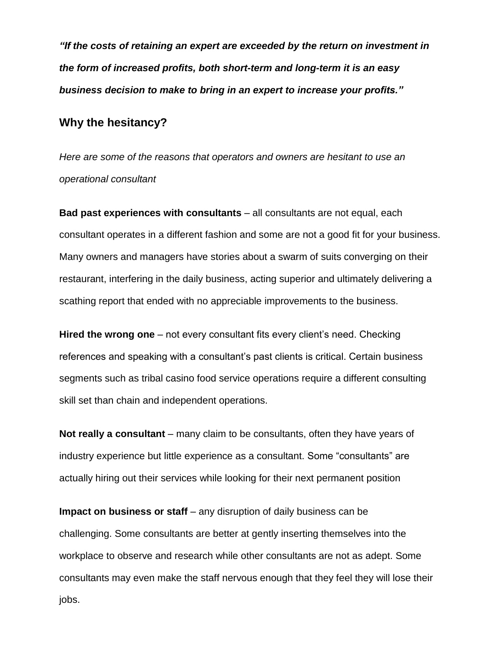*"If the costs of retaining an expert are exceeded by the return on investment in the form of increased profits, both short-term and long-term it is an easy business decision to make to bring in an expert to increase your profits."*

#### **Why the hesitancy?**

*Here are some of the reasons that operators and owners are hesitant to use an operational consultant*

**Bad past experiences with consultants** – all consultants are not equal, each consultant operates in a different fashion and some are not a good fit for your business. Many owners and managers have stories about a swarm of suits converging on their restaurant, interfering in the daily business, acting superior and ultimately delivering a scathing report that ended with no appreciable improvements to the business.

**Hired the wrong one** – not every consultant fits every client's need. Checking references and speaking with a consultant's past clients is critical. Certain business segments such as tribal casino food service operations require a different consulting skill set than chain and independent operations.

**Not really a consultant** – many claim to be consultants, often they have years of industry experience but little experience as a consultant. Some "consultants" are actually hiring out their services while looking for their next permanent position

**Impact on business or staff** – any disruption of daily business can be challenging. Some consultants are better at gently inserting themselves into the workplace to observe and research while other consultants are not as adept. Some consultants may even make the staff nervous enough that they feel they will lose their jobs.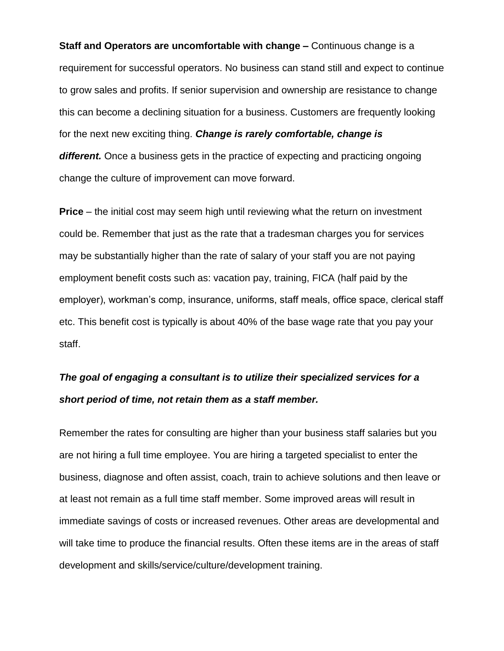**Staff and Operators are uncomfortable with change –** Continuous change is a requirement for successful operators. No business can stand still and expect to continue to grow sales and profits. If senior supervision and ownership are resistance to change this can become a declining situation for a business. Customers are frequently looking for the next new exciting thing. *Change is rarely comfortable, change is different.* Once a business gets in the practice of expecting and practicing ongoing change the culture of improvement can move forward.

**Price** – the initial cost may seem high until reviewing what the return on investment could be. Remember that just as the rate that a tradesman charges you for services may be substantially higher than the rate of salary of your staff you are not paying employment benefit costs such as: vacation pay, training, FICA (half paid by the employer), workman's comp, insurance, uniforms, staff meals, office space, clerical staff etc. This benefit cost is typically is about 40% of the base wage rate that you pay your staff.

## *The goal of engaging a consultant is to utilize their specialized services for a short period of time, not retain them as a staff member.*

Remember the rates for consulting are higher than your business staff salaries but you are not hiring a full time employee. You are hiring a targeted specialist to enter the business, diagnose and often assist, coach, train to achieve solutions and then leave or at least not remain as a full time staff member. Some improved areas will result in immediate savings of costs or increased revenues. Other areas are developmental and will take time to produce the financial results. Often these items are in the areas of staff development and skills/service/culture/development training.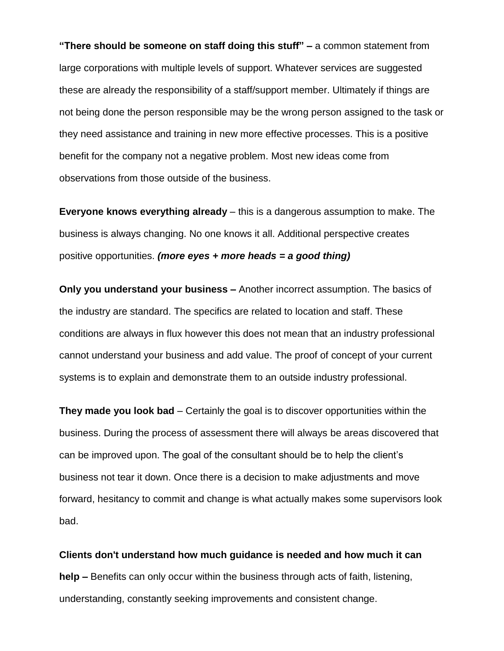**"There should be someone on staff doing this stuff" –** a common statement from large corporations with multiple levels of support. Whatever services are suggested these are already the responsibility of a staff/support member. Ultimately if things are not being done the person responsible may be the wrong person assigned to the task or they need assistance and training in new more effective processes. This is a positive benefit for the company not a negative problem. Most new ideas come from observations from those outside of the business.

**Everyone knows everything already** – this is a dangerous assumption to make. The business is always changing. No one knows it all. Additional perspective creates positive opportunities. *(more eyes + more heads = a good thing)*

**Only you understand your business –** Another incorrect assumption. The basics of the industry are standard. The specifics are related to location and staff. These conditions are always in flux however this does not mean that an industry professional cannot understand your business and add value. The proof of concept of your current systems is to explain and demonstrate them to an outside industry professional.

**They made you look bad** – Certainly the goal is to discover opportunities within the business. During the process of assessment there will always be areas discovered that can be improved upon. The goal of the consultant should be to help the client's business not tear it down. Once there is a decision to make adjustments and move forward, hesitancy to commit and change is what actually makes some supervisors look bad.

**Clients don't understand how much guidance is needed and how much it can help –** Benefits can only occur within the business through acts of faith, listening, understanding, constantly seeking improvements and consistent change.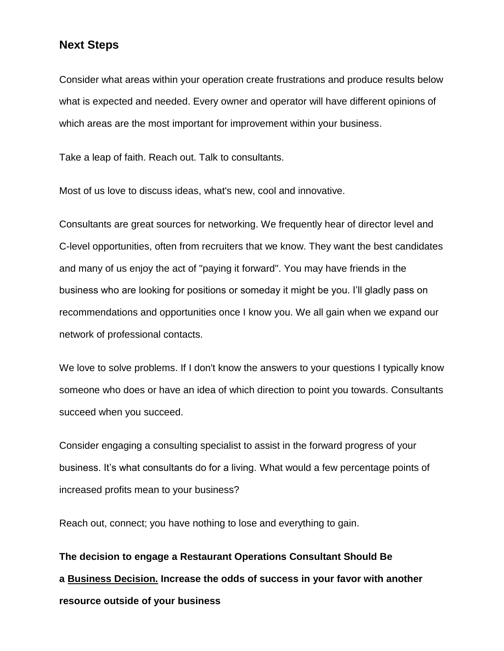#### **Next Steps**

Consider what areas within your operation create frustrations and produce results below what is expected and needed. Every owner and operator will have different opinions of which areas are the most important for improvement within your business.

Take a leap of faith. Reach out. Talk to consultants.

Most of us love to discuss ideas, what's new, cool and innovative.

Consultants are great sources for networking. We frequently hear of director level and C-level opportunities, often from recruiters that we know. They want the best candidates and many of us enjoy the act of "paying it forward". You may have friends in the business who are looking for positions or someday it might be you. I'll gladly pass on recommendations and opportunities once I know you. We all gain when we expand our network of professional contacts.

We love to solve problems. If I don't know the answers to your questions I typically know someone who does or have an idea of which direction to point you towards. Consultants succeed when you succeed.

Consider engaging a consulting specialist to assist in the forward progress of your business. It's what consultants do for a living. What would a few percentage points of increased profits mean to your business?

Reach out, connect; you have nothing to lose and everything to gain.

**The decision to engage a Restaurant Operations Consultant Should Be a Business Decision. Increase the odds of success in your favor with another resource outside of your business**